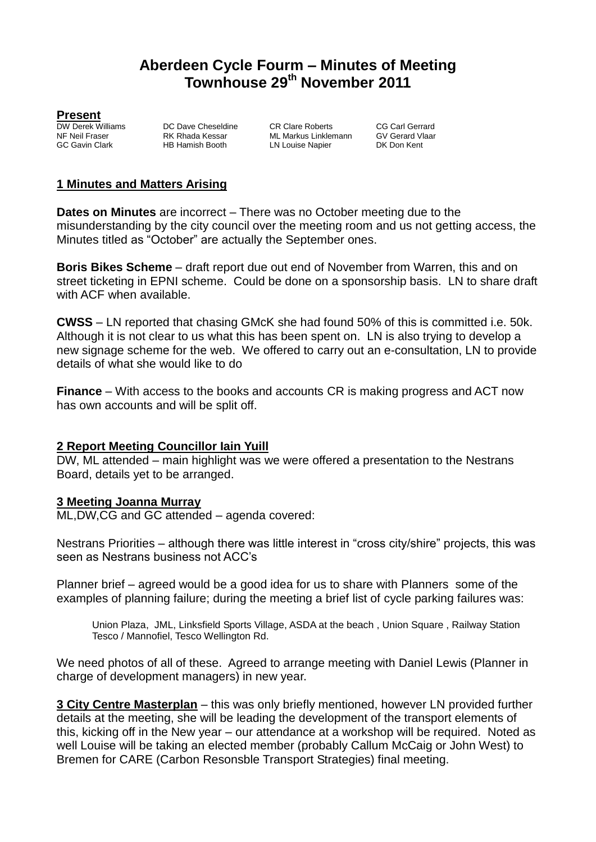## **Aberdeen Cycle Fourm – Minutes of Meeting Townhouse 29 th November 2011**

**Present**<br>DW Derek Williams

HB Hamish Booth LN Louise Napier

**DW Derek Williams** DC Dave Cheseldine CR Clare Roberts CG Carl Gerrard<br>NF Neil Fraser RK Rhada Kessar ML Markus Linklemann GV Gerard Vlaar NF Neil Fraser The Text Rhada Kessar ML Markus Linklemann GV Gerard VI<br>GC Gavin Clark HB Hamish Booth LN Louise Napier DK Don Kent

#### **1 Minutes and Matters Arising**

**Dates on Minutes** are incorrect – There was no October meeting due to the misunderstanding by the city council over the meeting room and us not getting access, the Minutes titled as "October" are actually the September ones.

**Boris Bikes Scheme** – draft report due out end of November from Warren, this and on street ticketing in EPNI scheme. Could be done on a sponsorship basis. LN to share draft with ACF when available.

**CWSS** – LN reported that chasing GMcK she had found 50% of this is committed i.e. 50k. Although it is not clear to us what this has been spent on. LN is also trying to develop a new signage scheme for the web. We offered to carry out an e-consultation, LN to provide details of what she would like to do

**Finance** – With access to the books and accounts CR is making progress and ACT now has own accounts and will be split off.

#### **2 Report Meeting Councillor Iain Yuill**

DW, ML attended – main highlight was we were offered a presentation to the Nestrans Board, details yet to be arranged.

#### **3 Meeting Joanna Murray**

ML,DW,CG and GC attended – agenda covered:

Nestrans Priorities – although there was little interest in "cross city/shire" projects, this was seen as Nestrans business not ACC's

Planner brief – agreed would be a good idea for us to share with Planners some of the examples of planning failure; during the meeting a brief list of cycle parking failures was:

Union Plaza, JML, Linksfield Sports Village, ASDA at the beach , Union Square , Railway Station Tesco / Mannofiel, Tesco Wellington Rd.

We need photos of all of these. Agreed to arrange meeting with Daniel Lewis (Planner in charge of development managers) in new year.

**3 City Centre Masterplan** – this was only briefly mentioned, however LN provided further details at the meeting, she will be leading the development of the transport elements of this, kicking off in the New year – our attendance at a workshop will be required. Noted as well Louise will be taking an elected member (probably Callum McCaig or John West) to Bremen for CARE (Carbon Resonsble Transport Strategies) final meeting.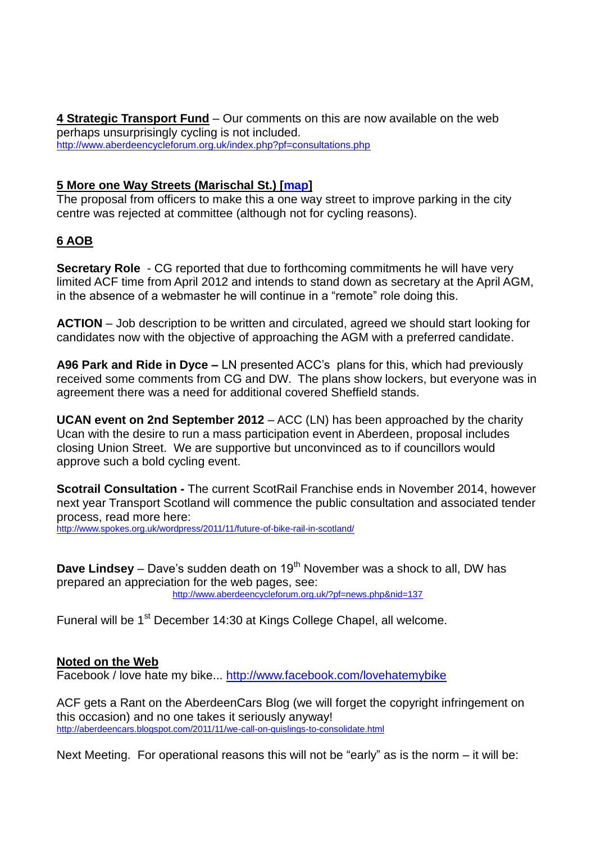**4 Strategic Transport Fund** – Our comments on this are now available on the web perhaps unsurprisingly cycling is not included. <http://www.aberdeencycleforum.org.uk/index.php?pf=consultations.php>

#### **5 More one Way Streets (Marischal St.) [\[map\]](http://maps.google.co.uk/?ll=57.147227,-2.091613&spn=0.00282,0.005622&t=m&z=18&vpsrc=6)**

The proposal from officers to make this a one way street to improve parking in the city centre was rejected at committee (although not for cycling reasons).

## **6 AOB**

**Secretary Role** - CG reported that due to forthcoming commitments he will have very limited ACF time from April 2012 and intends to stand down as secretary at the April AGM, in the absence of a webmaster he will continue in a "remote" role doing this.

**ACTION** – Job description to be written and circulated, agreed we should start looking for candidates now with the objective of approaching the AGM with a preferred candidate.

**A96 Park and Ride in Dyce –** LN presented ACC's plans for this, which had previously received some comments from CG and DW. The plans show lockers, but everyone was in agreement there was a need for additional covered Sheffield stands.

**UCAN event on 2nd September 2012** – ACC (LN) has been approached by the charity Ucan with the desire to run a mass participation event in Aberdeen, proposal includes closing Union Street. We are supportive but unconvinced as to if councillors would approve such a bold cycling event.

**Scotrail Consultation -** The current ScotRail Franchise ends in November 2014, however next year Transport Scotland will commence the public consultation and associated tender process, read more here:

<http://www.spokes.org.uk/wordpress/2011/11/future-of-bike-rail-in-scotland/>

**Dave Lindsey** – Dave's sudden death on 19<sup>th</sup> November was a shock to all, DW has prepared an appreciation for the web pages, see: <http://www.aberdeencycleforum.org.uk/?pf=news.php&nid=137>

Funeral will be 1<sup>st</sup> December 14:30 at Kings College Chapel, all welcome.

## **Noted on the Web**

Facebook / love hate my bike... <http://www.facebook.com/lovehatemybike>

ACF gets a Rant on the AberdeenCars Blog (we will forget the copyright infringement on this occasion) and no one takes it seriously anyway! <http://aberdeencars.blogspot.com/2011/11/we-call-on-quislings-to-consolidate.html>

Next Meeting. For operational reasons this will not be "early" as is the norm – it will be: